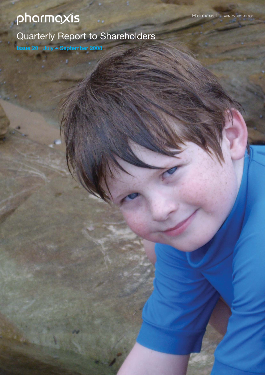# pharmaxis

Quarterly Report to Shareholders

**Issue 20 July – September 2008**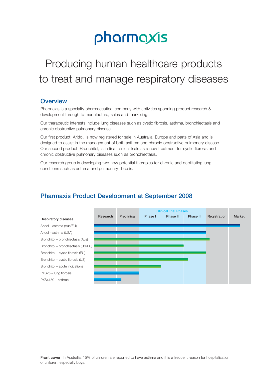# pharmaxis

## Producing human healthcare products to treat and manage respiratory diseases

### **Overview**

Pharmaxis is a specialty pharmaceutical company with activities spanning product research & development through to manufacture, sales and marketing.

Our therapeutic interests include lung diseases such as cystic fibrosis, asthma, bronchiectasis and chronic obstructive pulmonary disease.

Our first product, Aridol, is now registered for sale in Australia, Europe and parts of Asia and is designed to assist in the management of both asthma and chronic obstructive pulmonary disease. Our second product, Bronchitol, is in final clinical trials as a new treatment for cystic fibrosis and chronic obstructive pulmonary diseases such as bronchiectasis.

Our research group is developing two new potential therapies for chronic and debilitating lung conditions such as asthma and pulmonary fibrosis.

## **Pharmaxis Product Development at September 2008**

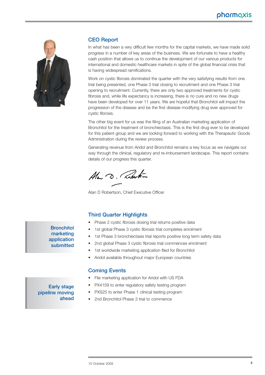## pharmaxis



#### **CEO Report**

In what has been a very difficult few months for the capital markets, we have made solid progress in a number of key areas of the business. We are fortunate to have a healthy cash position that allows us to continue the development of our various products for international and domestic healthcare markets in spite of the global financial crisis that is having widespread ramifications.

Work on cystic fibrosis dominated the quarter with the very satisfying results from one trial being presented, one Phase 3 trial closing to recruitment and one Phase 3 trial opening to recruitment. Currently, there are only two approved treatments for cystic fibrosis and, while life expectancy is increasing, there is no cure and no new drugs have been developed for over 11 years. We are hopeful that Bronchitol will impact the progression of the disease and be the first disease modifying drug ever approved for cystic fibrosis.

The other big event for us was the filing of an Australian marketing application of Bronchitol for the treatment of bronchiectasis. This is the first drug ever to be developed for this patient group and we are looking forward to working with the Therapeutic Goods Administration during the review process.

Generating revenue from Aridol and Bronchitol remains a key focus as we navigate our way through the clinical, regulatory and re-imbursement landscape. This report contains details of our progress this quarter.

Ala D. Roberton

Alan D Robertson, Chief Executive Officer

#### **Third Quarter Highlights**

- Phase 2 cystic fibrosis dosing trial returns positive data
- 1st global Phase 3 cystic fibrosis trial completes enrolment
- 1st Phase 3 bronchiectasis trial reports positive long term safety data
- 2nd global Phase 3 cystic fibrosis trial commences enrolment
- 1st worldwide marketing application filed for Bronchitol
- Aridol available throughout major European countries

#### **Coming Events**

- File marketing application for Aridol with US FDA
- PX4159 to enter regulatory safety testing program
- PXS25 to enter Phase 1 clinical testing program
- 2nd Bronchitol Phase 3 trial to commence

## **marketing application submitted**

**Bronchitol**

#### **Early stage pipeline moving ahead**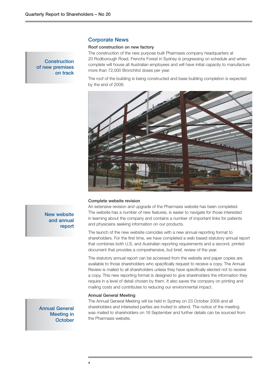#### **Construction of new premises on track**

#### **Corporate News**

#### **Roof construction on new factory**

The construction of the new purpose built Pharmaxis company headquarters at 20 Rodborough Road, Frenchs Forest in Sydney is progressing on schedule and when complete will house all Australian employees and will have initial capacity to manufacture more than 72,000 Bronchitol doses per year.

The roof of the building is being constructed and base building completion is expected by the end of 2008.



#### **Complete website revision**

An extensive revision and upgrade of the Pharmaxis website has been completed. The website has a number of new features, is easier to navigate for those interested in learning about the company and contains a number of important links for patients and physicians seeking information on our products.

The launch of the new website coincides with a new annual reporting format to shareholders. For the first time, we have completed a web based statutory annual report that combines both U.S. and Australian reporting requirements and a second, printed document that provides a comprehensive, but brief, review of the year.

The statutory annual report can be accessed from the website and paper copies are available to those shareholders who specifically request to receive a copy. The Annual Review is mailed to all shareholders unless they have specifically elected not to receive a copy. This new reporting format is designed to give shareholders the information they require in a level of detail chosen by them. It also saves the company on printing and mailing costs and contributes to reducing our environmental impact.

#### **Annual General Meeting**

**Annual General Meeting in October**  The Annual General Meeting will be held in Sydney on 23 October 2008 and all shareholders and interested parties are invited to attend. The notice of the meeting was mailed to shareholders on 16 September and further details can be sourced from the Pharmaxis website.

#### **New website and annual report**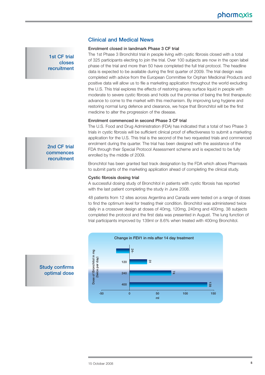#### **Clinical and Medical News**

#### **Enrolment closed in landmark Phase 3 CF trial**

The 1st Phase 3 Bronchitol trial in people living with cystic fibrosis closed with a total of 325 participants electing to join the trial. Over 100 subjects are now in the open label phase of the trial and more than 50 have completed the full trial protocol. The headline data is expected to be available during the first quarter of 2009. The trial design was completed with advice from the European Committee for Orphan Medicinal Products and positive data will allow us to file a marketing application throughout the world excluding the U.S. This trial explores the effects of restoring airway surface liquid in people with moderate to severe cystic fibrosis and holds out the promise of being the first therapeutic advance to come to the market with this mechanism. By improving lung hygiene and restoring normal lung defence and clearance, we hope that Bronchitol will be the first medicine to alter the progression of the disease.

#### **Enrolment commenced in second Phase 3 CF trial**

The U.S. Food and Drug Administration (FDA) has indicated that a total of two Phase 3 trials in cystic fibrosis will be sufficient clinical proof of effectiveness to submit a marketing application for the U.S. This trial is the second of the two requested trials and commenced enrolment during the quarter. The trial has been designed with the assistance of the FDA through their Special Protocol Assessment scheme and is expected to be fully enrolled by the middle of 2009.

Bronchitol has been granted fast track designation by the FDA which allows Pharmaxis to submit parts of the marketing application ahead of completing the clinical study.

#### **Cystic fibrosis dosing trial**

A successful dosing study of Bronchitol in patients with cystic fibrosis has reported with the last patient completing the study in June 2008.

48 patients from 12 sites across Argentina and Canada were tested on a range of doses to find the optimum level for treating their condition. Bronchitol was administered twice daily in a crossover design at doses of 40mg, 120mg, 240mg and 400mg. 38 subjects completed the protocol and the first data was presented in August. The lung function of trial participants improved by 139ml or 8.6% when treated with 400mg Bronchitol.



### **Study confirms optimal dose**

**commences recruitment** 

**2nd CF trial**

**1st CF trial closes recruitment**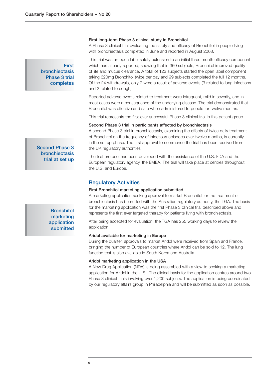#### **First long-term Phase 3 clinical study in Bronchitol**

A Phase 3 clinical trial evaluating the safety and efficacy of Bronchitol in people living with bronchiectasis completed in June and reported in August 2008.

#### **First bronchiectasis Phase 3 trial completes**

**Second Phase 3 bronchiectasis trial at set up**

This trial was an open label safety extension to an initial three month efficacy component which has already reported, showing that in 360 subjects, Bronchitol improved quality of life and mucus clearance. A total of 123 subjects started the open label component taking 320mg Bronchitol twice per day and 99 subjects completed the full 12 months. Of the 24 withdrawals, only 7 were a result of adverse events (3 related to lung infections and 2 related to cough).

Reported adverse events related to treatment were infrequent, mild in severity, and in most cases were a consequence of the underlying disease. The trial demonstrated that Bronchitol was effective and safe when administered to people for twelve months.

This trial represents the first ever successful Phase 3 clinical trial in this patient group.

#### **Second Phase 3 trial in participants affected by bronchiectasis**

A second Phase 3 trial in bronchiectasis, examining the effects of twice daily treatment of Bronchitol on the frequency of infectious episodes over twelve months, is currently in the set up phase. The first approval to commence the trial has been received from the UK regulatory authorities.

The trial protocol has been developed with the assistance of the U.S. FDA and the European regulatory agency, the EMEA. The trial will take place at centres throughout the U.S. and Europe.

#### **Regulatory Activities**

#### **First Bronchitol marketing application submitted**

A marketing application seeking approval to market Bronchitol for the treatment of bronchiectasis has been filed with the Australian regulatory authority, the TGA. The basis for the marketing application was the first Phase 3 clinical trial described above and represents the first ever targeted therapy for patients living with bronchiectasis.

After being accepted for evaluation, the TGA has 255 working days to review the application.

#### **Aridol available for marketing in Europe**

During the quarter, approvals to market Aridol were received from Spain and France, bringing the number of European countries where Aridol can be sold to 12. The lung function test is also available in South Korea and Australia.

#### **Aridol marketing application in the USA**

A New Drug Application (NDA) is being assembled with a view to seeking a marketing application for Aridol in the U.S.. The clinical basis for the application centres around two Phase 3 clinical trials involving over 1,200 subjects. The application is being coordinated by our regulatory affairs group in Philadelphia and will be submitted as soon as possible.

**Bronchitol marketing application submitted**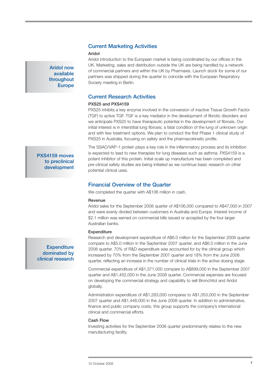#### **Current Marketing Activities**

#### **Aridol**

**Aridol now available throughout Europe** 

Aridol introduction to the European market is being coordinated by our offices in the UK. Marketing, sales and distribution outside the UK are being handled by a network of commercial partners and within the UK by Pharmaxis. Launch stock for some of our partners was shipped during the quarter to coincide with the European Respiratory Society meeting in Berlin.

#### **Current Research Activities**

#### **PXS25 and PXS4159**

PXS25 inhibits a key enzyme involved in the conversion of inactive Tissue Growth Factor (TGF) to active TGF. TGF is a key mediator in the development of fibrotic disorders and we anticipate PXS25 to have therapeutic potential in the development of fibrosis. Our initial interest is in interstitial lung fibrosis; a fatal condition of the lung of unknown origin and with few treatment options. We plan to conduct the first Phase 1 clinical study of PXS25 in Australia, focusing on safety and the pharmacokinetic profile.

The SSAO/VAP-1 protein plays a key role in the inflammatory process and its inhibition is expected to lead to new therapies for lung diseases such as asthma. PXS4159 is a potent inhibitor of this protein. Initial scale up manufacture has been completed and pre-clinical safety studies are being initiated as we continue basic research on other potential clinical uses.

#### **Financial Overview of the Quarter**

We completed the quarter with A\$106 million in cash.

#### **Revenue**

Aridol sales for the September 2008 quarter of A\$106,000 compared to A\$47,000 in 2007 and were evenly divided between customers in Australia and Europe. Interest income of \$2.1 million was earned on commercial bills issued or accepted by the four larger Australian banks.

#### **Expenditure**

Research and development expenditure of A\$6.0 million for the September 2008 quarter compare to A\$5.0 million in the September 2007 quarter, and A\$6.0 million in the June 2008 quarter. 70% of R&D expenditure was accounted for by the clinical group which increased by 70% from the September 2007 quarter and 18% from the June 2008 quarter, reflecting an increase in the number of clinical trials in the active dosing stage.

Commercial expenditure of A\$1,371,000 compare to A\$899,000 in the September 2007 quarter and A\$1,452,000 in the June 2008 quarter. Commercial expenses are focused on developing the commercial strategy and capability to sell Bronchitol and Aridol globally.

Administration expenditure of A\$1,283,000 compares to A\$1,053,000 in the September 2007 quarter and A\$1,446,000 in the June 2008 quarter. In addition to administrative, finance and public company costs, this group supports the company's international clinical and commercial efforts.

#### **Cash Flow**

Investing activities for the September 2008 quarter predominantly relates to the new manufacturing facility.

**Expenditure dominated by clinical research** 

**PXS4159 moves to preclinical development**